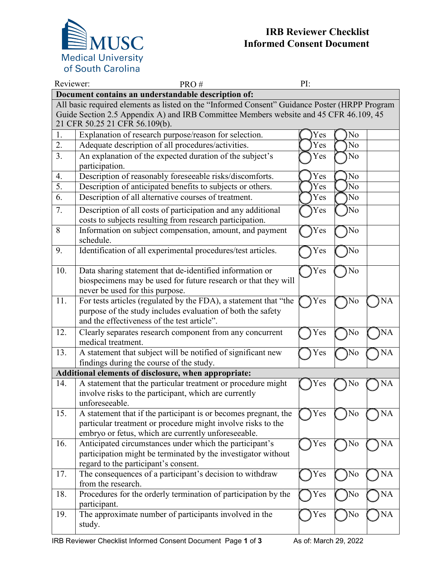

## **IRB Reviewer Checklist Informed Consent Document**

| Reviewer:                                                                                     | PRO#                                                                                                                                                                                   | PI: |                |    |  |  |  |  |
|-----------------------------------------------------------------------------------------------|----------------------------------------------------------------------------------------------------------------------------------------------------------------------------------------|-----|----------------|----|--|--|--|--|
| Document contains an understandable description of:                                           |                                                                                                                                                                                        |     |                |    |  |  |  |  |
| All basic required elements as listed on the "Informed Consent" Guidance Poster (HRPP Program |                                                                                                                                                                                        |     |                |    |  |  |  |  |
| Guide Section 2.5 Appendix A) and IRB Committee Members website and 45 CFR 46.109, 45         |                                                                                                                                                                                        |     |                |    |  |  |  |  |
| 21 CFR 50.25 21 CFR 56.109(b).                                                                |                                                                                                                                                                                        |     |                |    |  |  |  |  |
| 1.                                                                                            | Explanation of research purpose/reason for selection.                                                                                                                                  | Yes | N <sub>o</sub> |    |  |  |  |  |
| 2.                                                                                            | Adequate description of all procedures/activities.                                                                                                                                     | Yes | N <sub>o</sub> |    |  |  |  |  |
| 3.                                                                                            | An explanation of the expected duration of the subject's<br>participation.                                                                                                             | Yes | No             |    |  |  |  |  |
| 4.                                                                                            | Description of reasonably foreseeable risks/discomforts.                                                                                                                               | Yes | No             |    |  |  |  |  |
| 5.                                                                                            | Description of anticipated benefits to subjects or others.                                                                                                                             | Yes | N <sub>o</sub> |    |  |  |  |  |
| 6.                                                                                            | Description of all alternative courses of treatment.                                                                                                                                   | Yes | No             |    |  |  |  |  |
| 7.                                                                                            | Description of all costs of participation and any additional<br>costs to subjects resulting from research participation.                                                               | Yes | No             |    |  |  |  |  |
| 8                                                                                             | Information on subject compensation, amount, and payment<br>schedule.                                                                                                                  | Yes | No             |    |  |  |  |  |
| 9.                                                                                            | Identification of all experimental procedures/test articles.                                                                                                                           | Yes | No             |    |  |  |  |  |
| 10.                                                                                           | Data sharing statement that de-identified information or<br>biospecimens may be used for future research or that they will<br>never be used for this purpose.                          | Yes | No             |    |  |  |  |  |
| 11.                                                                                           | For tests articles (regulated by the FDA), a statement that "the<br>purpose of the study includes evaluation of both the safety<br>and the effectiveness of the test article".         | Yes | No             | NA |  |  |  |  |
| 12.                                                                                           | Clearly separates research component from any concurrent<br>medical treatment.                                                                                                         | Yes | No             | NA |  |  |  |  |
| 13.                                                                                           | A statement that subject will be notified of significant new                                                                                                                           | Yes | No             | NA |  |  |  |  |
|                                                                                               | findings during the course of the study.                                                                                                                                               |     |                |    |  |  |  |  |
|                                                                                               | Additional elements of disclosure, when appropriate:                                                                                                                                   |     |                |    |  |  |  |  |
| 14.                                                                                           | A statement that the particular treatment or procedure might<br>involve risks to the participant, which are currently<br>unforeseeable.                                                | Yes | No             | NA |  |  |  |  |
| 15.                                                                                           | A statement that if the participant is or becomes pregnant, the<br>particular treatment or procedure might involve risks to the<br>embryo or fetus, which are currently unforeseeable. | Yes | No             | NA |  |  |  |  |
| 16.                                                                                           | Anticipated circumstances under which the participant's<br>participation might be terminated by the investigator without<br>regard to the participant's consent.                       | Yes | No             | NA |  |  |  |  |
| 17.                                                                                           | The consequences of a participant's decision to withdraw<br>from the research.                                                                                                         | Yes | No             | NA |  |  |  |  |
| 18.                                                                                           | Procedures for the orderly termination of participation by the<br>participant.                                                                                                         | Yes | No             | NA |  |  |  |  |
| 19.                                                                                           | The approximate number of participants involved in the<br>study.                                                                                                                       | Yes | No             | NA |  |  |  |  |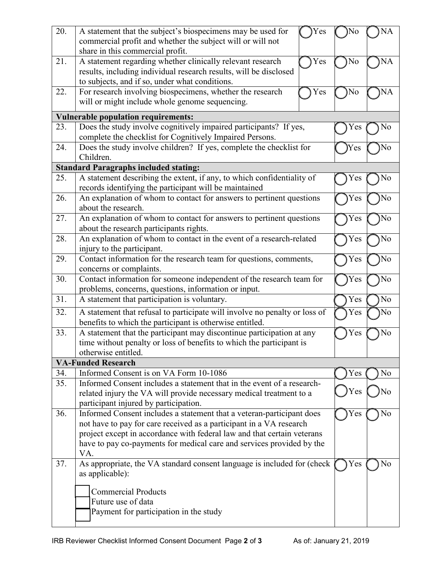| 20.                                        | A statement that the subject's biospecimens may be used for<br>Yes                                                                           | No   | <b>NA</b> |  |  |  |
|--------------------------------------------|----------------------------------------------------------------------------------------------------------------------------------------------|------|-----------|--|--|--|
|                                            | commercial profit and whether the subject will or will not                                                                                   |      |           |  |  |  |
| 21.                                        | share in this commercial profit.<br>A statement regarding whether clinically relevant research<br>Yes                                        | No   | NA        |  |  |  |
|                                            | results, including individual research results, will be disclosed                                                                            |      |           |  |  |  |
|                                            | to subjects, and if so, under what conditions.                                                                                               |      |           |  |  |  |
| 22.                                        | For research involving biospecimens, whether the research<br>Yes                                                                             | No   | NA        |  |  |  |
|                                            | will or might include whole genome sequencing.                                                                                               |      |           |  |  |  |
| <b>Vulnerable population requirements:</b> |                                                                                                                                              |      |           |  |  |  |
| 23.                                        | Does the study involve cognitively impaired participants? If yes,                                                                            | Y es | No        |  |  |  |
|                                            | complete the checklist for Cognitively Impaired Persons.                                                                                     |      |           |  |  |  |
| 24.                                        | Does the study involve children? If yes, complete the checklist for                                                                          | Yes  | No        |  |  |  |
|                                            | Children.                                                                                                                                    |      |           |  |  |  |
|                                            | <b>Standard Paragraphs included stating:</b>                                                                                                 |      |           |  |  |  |
| 25.                                        | A statement describing the extent, if any, to which confidentiality of<br>records identifying the participant will be maintained             | Y es | No        |  |  |  |
| 26.                                        | An explanation of whom to contact for answers to pertinent questions<br>about the research.                                                  | Yes  | No        |  |  |  |
| 27.                                        | An explanation of whom to contact for answers to pertinent questions<br>about the research participants rights.                              | Yes  | No        |  |  |  |
| 28.                                        | An explanation of whom to contact in the event of a research-related                                                                         | Yes  | No        |  |  |  |
|                                            | injury to the participant.                                                                                                                   |      |           |  |  |  |
| 29.                                        | Contact information for the research team for questions, comments,                                                                           | Yes  | No        |  |  |  |
|                                            | concerns or complaints.                                                                                                                      |      |           |  |  |  |
| 30.                                        | Contact information for someone independent of the research team for                                                                         | Yes  | No        |  |  |  |
| 31.                                        | problems, concerns, questions, information or input.<br>A statement that participation is voluntary.                                         | Yes  | No        |  |  |  |
|                                            |                                                                                                                                              |      |           |  |  |  |
| 32.                                        | A statement that refusal to participate will involve no penalty or loss of<br>benefits to which the participant is otherwise entitled.       | Yes  | No        |  |  |  |
| 33.                                        | A statement that the participant may discontinue participation at any                                                                        | Yes  | No        |  |  |  |
|                                            | time without penalty or loss of benefits to which the participant is                                                                         |      |           |  |  |  |
|                                            | otherwise entitled.                                                                                                                          |      |           |  |  |  |
| <b>VA-Funded Research</b>                  |                                                                                                                                              |      |           |  |  |  |
| 34.                                        | Informed Consent is on VA Form 10-1086                                                                                                       | Yes  | No        |  |  |  |
| 35.                                        | Informed Consent includes a statement that in the event of a research-                                                                       |      |           |  |  |  |
|                                            | related injury the VA will provide necessary medical treatment to a                                                                          | Yes  | No        |  |  |  |
|                                            | participant injured by participation.                                                                                                        |      |           |  |  |  |
| 36.                                        | Informed Consent includes a statement that a veteran-participant does<br>not have to pay for care received as a participant in a VA research | Yes  | No        |  |  |  |
|                                            | project except in accordance with federal law and that certain veterans                                                                      |      |           |  |  |  |
|                                            | have to pay co-payments for medical care and services provided by the                                                                        |      |           |  |  |  |
|                                            | VA.                                                                                                                                          |      |           |  |  |  |
| 37.                                        | As appropriate, the VA standard consent language is included for (check                                                                      | Yes  | No        |  |  |  |
|                                            | as applicable):                                                                                                                              |      |           |  |  |  |
|                                            | <b>Commercial Products</b>                                                                                                                   |      |           |  |  |  |
|                                            | Future use of data                                                                                                                           |      |           |  |  |  |
|                                            | Payment for participation in the study                                                                                                       |      |           |  |  |  |
|                                            |                                                                                                                                              |      |           |  |  |  |